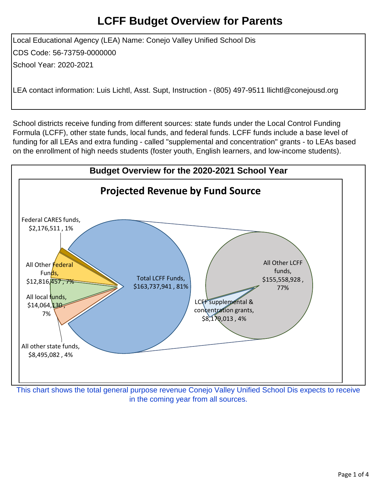Local Educational Agency (LEA) Name: Conejo Valley Unified School Dis CDS Code: 56-73759-0000000 School Year: 2020-2021

LEA contact information: Luis Lichtl, Asst. Supt, Instruction - (805) 497-9511 llichtl@conejousd.org

School districts receive funding from different sources: state funds under the Local Control Funding Formula (LCFF), other state funds, local funds, and federal funds. LCFF funds include a base level of funding for all LEAs and extra funding - called "supplemental and concentration" grants - to LEAs based on the enrollment of high needs students (foster youth, English learners, and low-income students).



This chart shows the total general purpose revenue Conejo Valley Unified School Dis expects to receive in the coming year from all sources.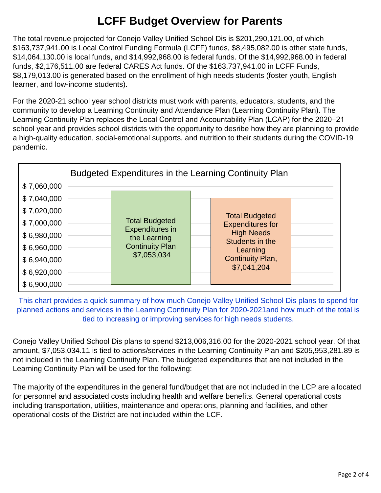The total revenue projected for Conejo Valley Unified School Dis is \$201,290,121.00, of which \$163,737,941.00 is Local Control Funding Formula (LCFF) funds, \$8,495,082.00 is other state funds, \$14,064,130.00 is local funds, and \$14,992,968.00 is federal funds. Of the \$14,992,968.00 in federal funds, \$2,176,511.00 are federal CARES Act funds. Of the \$163,737,941.00 in LCFF Funds, \$8,179,013.00 is generated based on the enrollment of high needs students (foster youth, English learner, and low-income students).

For the 2020-21 school year school districts must work with parents, educators, students, and the community to develop a Learning Continuity and Attendance Plan (Learning Continuity Plan). The Learning Continuity Plan replaces the Local Control and Accountability Plan (LCAP) for the 2020–21 school year and provides school districts with the opportunity to desribe how they are planning to provide a high-quality education, social-emotional supports, and nutrition to their students during the COVID-19 pandemic.

|             | Budgeted Expenditures in the Learning Continuity Plan |                                                                                                          |  |                                                                                                                                         |  |
|-------------|-------------------------------------------------------|----------------------------------------------------------------------------------------------------------|--|-----------------------------------------------------------------------------------------------------------------------------------------|--|
| \$7,060,000 |                                                       |                                                                                                          |  |                                                                                                                                         |  |
| \$7,040,000 |                                                       | <b>Total Budgeted</b><br><b>Expenditures in</b><br>the Learning<br><b>Continuity Plan</b><br>\$7,053,034 |  |                                                                                                                                         |  |
| \$7,020,000 |                                                       |                                                                                                          |  | <b>Total Budgeted</b><br><b>Expenditures for</b><br><b>High Needs</b><br>Students in the<br>Learning<br>Continuity Plan,<br>\$7,041,204 |  |
| \$7,000,000 |                                                       |                                                                                                          |  |                                                                                                                                         |  |
| \$6,980,000 |                                                       |                                                                                                          |  |                                                                                                                                         |  |
| \$6,960,000 |                                                       |                                                                                                          |  |                                                                                                                                         |  |
| \$6,940,000 |                                                       |                                                                                                          |  |                                                                                                                                         |  |
| \$6,920,000 |                                                       |                                                                                                          |  |                                                                                                                                         |  |
| \$6,900,000 |                                                       |                                                                                                          |  |                                                                                                                                         |  |

This chart provides a quick summary of how much Conejo Valley Unified School Dis plans to spend for planned actions and services in the Learning Continuity Plan for 2020-2021and how much of the total is tied to increasing or improving services for high needs students.

Conejo Valley Unified School Dis plans to spend \$213,006,316.00 for the 2020-2021 school year. Of that amount, \$7,053,034.11 is tied to actions/services in the Learning Continuity Plan and \$205,953,281.89 is not included in the Learning Continuity Plan. The budgeted expenditures that are not included in the Learning Continuity Plan will be used for the following:

The majority of the expenditures in the general fund/budget that are not included in the LCP are allocated for personnel and associated costs including health and welfare benefits. General operational costs including transportation, utilities, maintenance and operations, planning and facilities, and other operational costs of the District are not included within the LCF.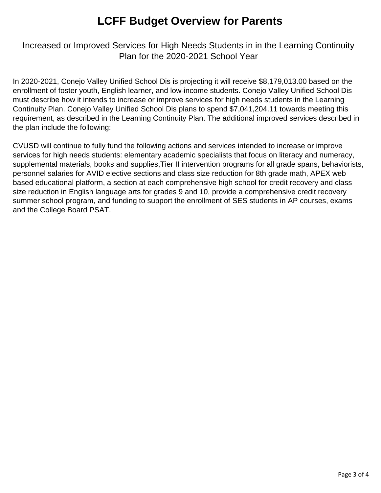### Increased or Improved Services for High Needs Students in in the Learning Continuity Plan for the 2020-2021 School Year

In 2020-2021, Conejo Valley Unified School Dis is projecting it will receive \$8,179,013.00 based on the enrollment of foster youth, English learner, and low-income students. Conejo Valley Unified School Dis must describe how it intends to increase or improve services for high needs students in the Learning Continuity Plan. Conejo Valley Unified School Dis plans to spend \$7,041,204.11 towards meeting this requirement, as described in the Learning Continuity Plan. The additional improved services described in the plan include the following:

CVUSD will continue to fully fund the following actions and services intended to increase or improve services for high needs students: elementary academic specialists that focus on literacy and numeracy, supplemental materials, books and supplies,Tier II intervention programs for all grade spans, behaviorists, personnel salaries for AVID elective sections and class size reduction for 8th grade math, APEX web based educational platform, a section at each comprehensive high school for credit recovery and class size reduction in English language arts for grades 9 and 10, provide a comprehensive credit recovery summer school program, and funding to support the enrollment of SES students in AP courses, exams and the College Board PSAT.